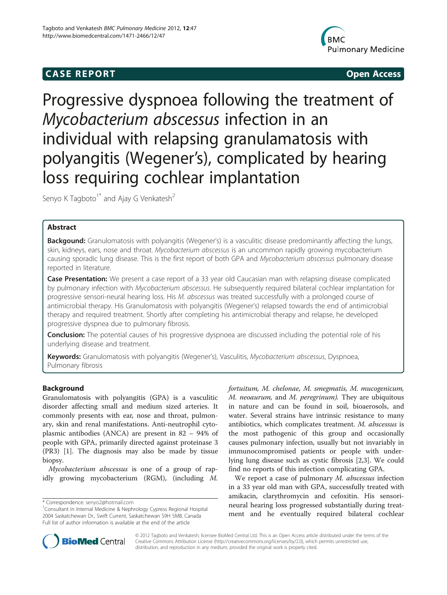## **CASE REPORT CASE REPORT**



# Progressive dyspnoea following the treatment of Mycobacterium abscessus infection in an individual with relapsing granulamatosis with polyangitis (Wegener's), complicated by hearing loss requiring cochlear implantation

Senyo K Tagboto<sup>1\*</sup> and Ajay G Venkatesh<sup>2</sup>

## Abstract

**Backgound:** Granulomatosis with polyangitis (Wegener's) is a vasculitic disease predominantly affecting the lungs, skin, kidneys, ears, nose and throat. Mycobacterium abscessus is an uncommon rapidly growing mycobacterium causing sporadic lung disease. This is the first report of both GPA and Mycobacterium abscessus pulmonary disease reported in literature.

Case Presentation: We present a case report of a 33 year old Caucasian man with relapsing disease complicated by pulmonary infection with Mycobacterium abscessus. He subsequently required bilateral cochlear implantation for progressive sensori-neural hearing loss. His M. abscessus was treated successfully with a prolonged course of antimicrobial therapy. His Granulomatosis with polyangitis (Wegener's) relapsed towards the end of antimicrobial therapy and required treatment. Shortly after completing his antimicrobial therapy and relapse, he developed progressive dyspnea due to pulmonary fibrosis.

**Conclusion:** The potential causes of his progressive dyspnoea are discussed including the potential role of his underlying disease and treatment.

Keywords: Granulomatosis with polyangitis (Wegener's), Vasculitis, Mycobacterium abscessus, Dyspnoea, Pulmonary fibrosis

## Background

Granulomatosis with polyangitis (GPA) is a vasculitic disorder affecting small and medium sized arteries. It commonly presents with ear, nose and throat, pulmonary, skin and renal manifestations. Anti-neutrophil cytoplasmic antibodies (ANCA) are present in 82 – 94% of people with GPA, primarily directed against proteinase 3 (PR3) [[1\]](#page-4-0). The diagnosis may also be made by tissue biopsy.

Mycobacterium abscessus is one of a group of rapidly growing mycobacterium (RGM), (including M.

M. neoaurum, and M. peregrinum). They are ubiquitous<br>in nature and can be found in soil, biogeneous, and in nature and can be found in soil, bioaerosols, and water. Several strains have intrinsic resistance to many antibiotics, which complicates treatment. M. abscessus is the most pathogenic of this group and occasionally causes pulmonary infection, usually but not invariably in immunocompromised patients or people with underlying lung disease such as cystic fibrosis [\[2,3](#page-4-0)]. We could find no reports of this infection complicating GPA.

We report a case of pulmonary *M. abscessus* infection in a 33 year old man with GPA, successfully treated with amikacin, clarythromycin and cefoxitin. His sensorineural hearing loss progressed substantially during treatment and he eventually required bilateral cochlear



© 2012 Tagboto and Venkatesh; licensee BioMed Central Ltd. This is an Open Access article distributed under the terms of the Creative Commons Attribution License [\(http://creativecommons.org/licenses/by/2.0](http://creativecommons.org/licenses/by/2.0)), which permits unrestricted use, distribution, and reproduction in any medium, provided the original work is properly cited.

<sup>\*</sup> Correspondence: [senyo2@hotmail.com](mailto:senyo2@hotmail.com) <sup>1</sup>

<sup>&</sup>lt;sup>1</sup> Consultant in Internal Medicine & Nephrology Cypress Regional Hospital 2004 Saskatchewan Dr., Swift Current, Saskatchewan S9H 5M8, Canada Full list of author information is available at the end of the article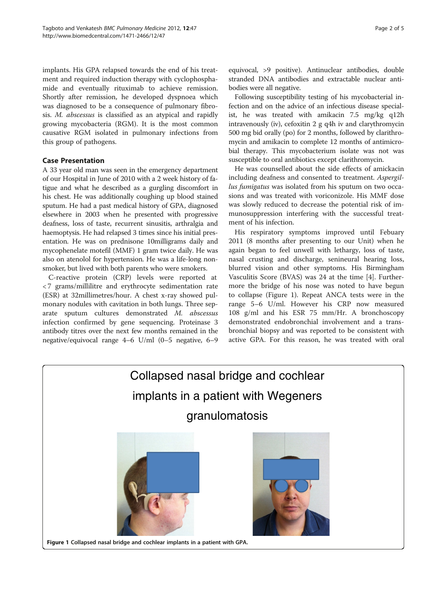implants. His GPA relapsed towards the end of his treatment and required induction therapy with cyclophosphamide and eventually rituximab to achieve remission. Shortly after remission, he developed dyspnoea which was diagnosed to be a consequence of pulmonary fibrosis. M. abscessus is classified as an atypical and rapidly growing mycobacteria (RGM). It is the most common causative RGM isolated in pulmonary infections from this group of pathogens.

## Case Presentation

A 33 year old man was seen in the emergency department of our Hospital in June of 2010 with a 2 week history of fatigue and what he described as a gurgling discomfort in his chest. He was additionally coughing up blood stained sputum. He had a past medical history of GPA, diagnosed elsewhere in 2003 when he presented with progressive deafness, loss of taste, recurrent sinusitis, arthralgia and haemoptysis. He had relapsed 3 times since his initial presentation. He was on prednisone 10milligrams daily and mycophenelate motefil (MMF) 1 gram twice daily. He was also on atenolol for hypertension. He was a life-long nonsmoker, but lived with both parents who were smokers.

C-reactive protein (CRP) levels were reported at < 7 grams/millilitre and erythrocyte sedimentation rate (ESR) at 32millimetres/hour. A chest x-ray showed pulmonary nodules with cavitation in both lungs. Three separate sputum cultures demonstrated M. abscessus infection confirmed by gene sequencing. Proteinase 3 antibody titres over the next few months remained in the negative/equivocal range 4–6 U/ml (0–5 negative, 6–9

equivocal, >9 positive). Antinuclear antibodies, double stranded DNA antibodies and extractable nuclear antibodies were all negative.

Following susceptibility testing of his mycobacterial infection and on the advice of an infectious disease specialist, he was treated with amikacin 7.5 mg/kg q12h intravenously (iv), cefoxitin 2 g q4h iv and clarythromycin 500 mg bid orally (po) for 2 months, followed by clarithromycin and amikacin to complete 12 months of antimicrobial therapy. This mycobacterium isolate was not was susceptible to oral antibiotics except clarithromycin.

He was counselled about the side effects of amickacin including deafness and consented to treatment. Aspergillus fumigatus was isolated from his sputum on two occasions and was treated with voriconizole. His MMF dose was slowly reduced to decrease the potential risk of immunosuppression interfering with the successful treatment of his infection.

His respiratory symptoms improved until Febuary 2011 (8 months after presenting to our Unit) when he again began to feel unwell with lethargy, loss of taste, nasal crusting and discharge, senineural hearing loss, blurred vision and other symptoms. His Birmingham Vasculitis Score (BVAS) was 24 at the time [[4\]](#page-4-0). Furthermore the bridge of his nose was noted to have begun to collapse (Figure 1). Repeat ANCA tests were in the range 5–6 U/ml. However his CRP now measured 108 g/ml and his ESR 75 mm/Hr. A bronchoscopy demonstrated endobronchial involvement and a transbronchial biopsy and was reported to be consistent with active GPA. For this reason, he was treated with oral

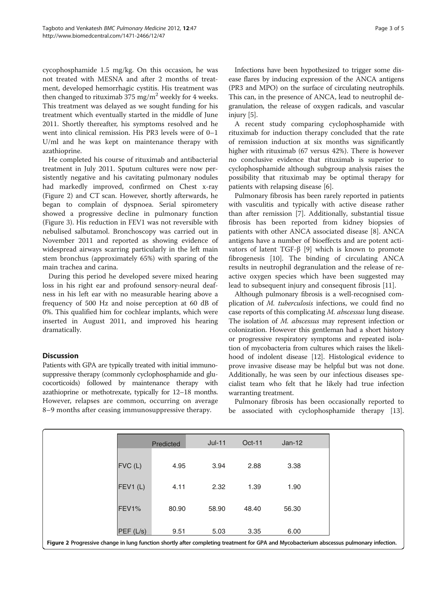cycophosphamide 1.5 mg/kg. On this occasion, he was not treated with MESNA and after 2 months of treatment, developed hemorrhagic cystitis. His treatment was then changed to rituximab 375 mg/m<sup>2</sup> weekly for 4 weeks. This treatment was delayed as we sought funding for his treatment which eventually started in the middle of June 2011. Shortly thereafter, his symptoms resolved and he went into clinical remission. His PR3 levels were of 0–1 U/ml and he was kept on maintenance therapy with azathioprine.

He completed his course of rituximab and antibacterial treatment in July 2011. Sputum cultures were now persistently negative and his cavitating pulmonary nodules had markedly improved, confirmed on Chest x-ray (Figure [2](#page-3-0)) and CT scan. However, shortly afterwards, he began to complain of dyspnoea. Serial spirometery showed a progressive decline in pulmonary function (Figure 3). His reduction in FEV1 was not reversible with nebulised salbutamol. Bronchoscopy was carried out in November 2011 and reported as showing evidence of widespread airways scarring particularly in the left main stem bronchus (approximately 65%) with sparing of the main trachea and carina.

During this period he developed severe mixed hearing loss in his right ear and profound sensory-neural deafness in his left ear with no measurable hearing above a frequency of 500 Hz and noise perception at 60 dB of 0%. This qualified him for cochlear implants, which were inserted in August 2011, and improved his hearing dramatically.

## **Discussion**

Patients with GPA are typically treated with initial immunosuppressive therapy (commonly cyclophosphamide and glucocorticoids) followed by maintenance therapy with azathioprine or methotrexate, typically for 12–18 months. However, relapses are common, occurring on average 8–9 months after ceasing immunosuppressive therapy.

Infections have been hypothesized to trigger some disease flares by inducing expression of the ANCA antigens (PR3 and MPO) on the surface of circulating neutrophils. This can, in the presence of ANCA, lead to neutrophil degranulation, the release of oxygen radicals, and vascular injury [[5](#page-4-0)].

A recent study comparing cyclophosphamide with rituximab for induction therapy concluded that the rate of remission induction at six months was significantly higher with rituximab (67 versus 42%). There is however no conclusive evidence that rituximab is superior to cyclophosphamide although subgroup analysis raises the possibility that rituximab may be optimal therapy for patients with relapsing disease [\[6](#page-4-0)].

Pulmonary fibrosis has been rarely reported in patients with vasculitis and typically with active disease rather than after remission [[7\]](#page-4-0). Additionally, substantial tissue fibrosis has been reported from kidney biopsies of patients with other ANCA associated disease [[8\]](#page-4-0). ANCA antigens have a number of bioeffects and are potent activators of latent TGF-β [[9\]](#page-4-0) which is known to promote fibrogenesis [[10\]](#page-4-0). The binding of circulating ANCA results in neutrophil degranulation and the release of reactive oxygen species which have been suggested may lead to subsequent injury and consequent fibrosis [\[11\]](#page-4-0).

Although pulmonary fibrosis is a well-recognised complication of M. tuberculosis infections, we could find no case reports of this complicating M. abscessus lung disease. The isolation of M. abscessus may represent infection or colonization. However this gentleman had a short history or progressive respiratory symptoms and repeated isolation of mycobacteria from cultures which raises the likelihood of indolent disease [\[12\]](#page-4-0). Histological evidence to prove invasive disease may be helpful but was not done. Additionally, he was seen by our infectious diseases specialist team who felt that he likely had true infection warranting treatment.

Pulmonary fibrosis has been occasionally reported to be associated with cyclophosphamide therapy [[13](#page-4-0)].

|           | Predicted                                                                                                                                | $Jul-11$ | $Oct-11$ | $Jan-12$ |  |
|-----------|------------------------------------------------------------------------------------------------------------------------------------------|----------|----------|----------|--|
| $FVC$ (L) | 4.95                                                                                                                                     | 3.94     | 2.88     | 3.38     |  |
| FEV1(L)   | 4.11                                                                                                                                     | 2.32     | 1.39     | 1.90     |  |
| FEV1%     | 80.90                                                                                                                                    | 58.90    | 48.40    | 56.30    |  |
| PEF(L/s)  | 9.51                                                                                                                                     | 5.03     | 3.35     | 6.00     |  |
|           | Figure 2 Progressive change in lung function shortly after completing treatment for GPA and Mycobacterium abscessus pulmonary infection. |          |          |          |  |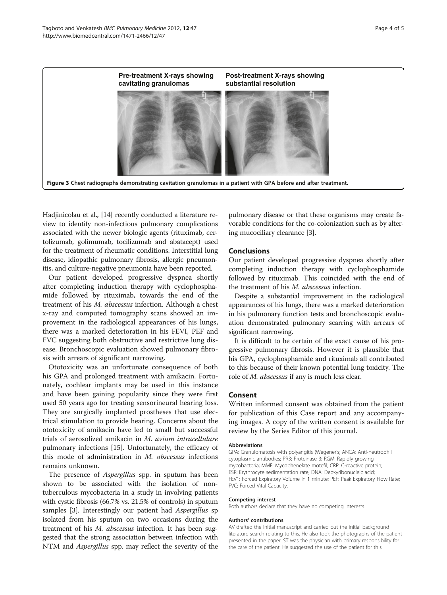<span id="page-3-0"></span>

Hadjinicolau et al., [[14](#page-4-0)] recently conducted a literature review to identify non-infectious pulmonary complications associated with the newer biologic agents (rituximab, certolizumab, golimumab, tocilizumab and abatacept) used for the treatment of rheumatic conditions. Interstitial lung disease, idiopathic pulmonary fibrosis, allergic pneumonitis, and culture-negative pneumonia have been reported.

Our patient developed progressive dyspnea shortly after completing induction therapy with cyclophosphamide followed by rituximab, towards the end of the treatment of his M. abscessus infection. Although a chest x-ray and computed tomography scans showed an improvement in the radiological appearances of his lungs, there was a marked deterioration in his FEVI, PEF and FVC suggesting both obstructive and restrictive lung disease. Bronchoscopic evaluation showed pulmonary fibrosis with arrears of significant narrowing.

Ototoxicity was an unfortunate consequence of both his GPA and prolonged treatment with amikacin. Fortunately, cochlear implants may be used in this instance and have been gaining popularity since they were first used 50 years ago for treating sensorineural hearing loss. They are surgically implanted prostheses that use electrical stimulation to provide hearing. Concerns about the ototoxicity of amikacin have led to small but successful trials of aerosolized amikacin in M. avium intracellulare pulmonary infections [[15\]](#page-4-0). Unfortunately, the efficacy of this mode of administration in M. abscessus infections remains unknown.

The presence of *Aspergillus* spp. in sputum has been shown to be associated with the isolation of nontuberculous mycobacteria in a study in involving patients with cystic fibrosis (66.7% vs. 21.5% of controls) in sputum samples [[3\]](#page-4-0). Interestingly our patient had Aspergillus sp isolated from his sputum on two occasions during the treatment of his M. abscessus infection. It has been suggested that the strong association between infection with NTM and Aspergillus spp. may reflect the severity of the

pulmonary disease or that these organisms may create favorable conditions for the co-colonization such as by altering mucociliary clearance [\[3](#page-4-0)].

#### **Conclusions**

Our patient developed progressive dyspnea shortly after completing induction therapy with cyclophosphamide followed by rituximab. This coincided with the end of the treatment of his M. abscessus infection.

Despite a substantial improvement in the radiological appearances of his lungs, there was a marked deterioration in his pulmonary function tests and bronchoscopic evaluation demonstrated pulmonary scarring with arrears of significant narrowing.

It is difficult to be certain of the exact cause of his progressive pulmonary fibrosis. However it is plausible that his GPA, cyclophosphamide and rituximab all contributed to this because of their known potential lung toxicity. The role of M. abscessus if any is much less clear.

#### Consent

Written informed consent was obtained from the patient for publication of this Case report and any accompanying images. A copy of the written consent is available for review by the Series Editor of this journal.

#### Abbreviations

GPA: Granulomatosis with polyangitis (Wegener's; ANCA: Anti-neutrophil cytoplasmic antibodies; PR3: Proteinase 3; RGM: Rapidly growing mycobacteria; MMF: Mycophenelate motefil; CRP: C-reactive protein; ESR: Erythrocyte sedimentation rate; DNA: Deoxyribonucleic acid; FEV1: Forced Expiratory Volume in 1 minute; PEF: Peak Expiratory Flow Rate; FVC: Forced Vital Capacity.

#### Competing interest

Both authors declare that they have no competing interests.

#### Authors' contributions

AV drafted the initial manuscript and carried out the initial background literature search relating to this. He also took the photographs of the patient presented in the paper. ST was the physician with primary responsibility for the care of the patient. He suggested the use of the patient for this